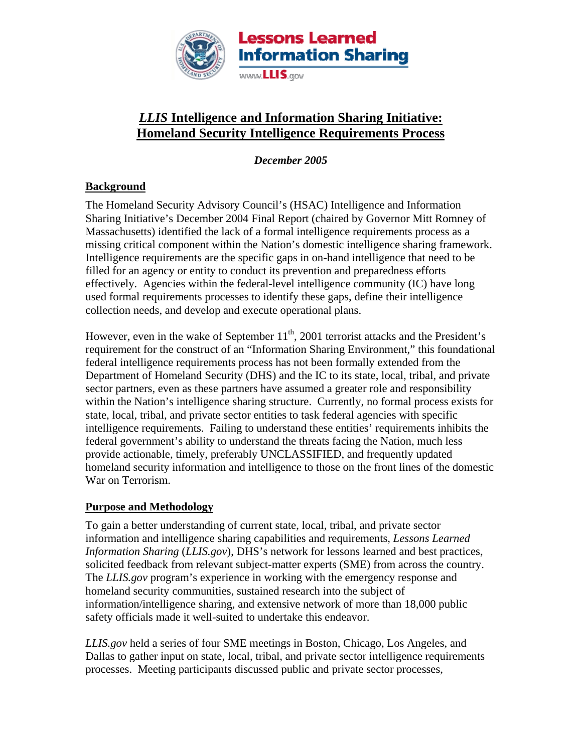

# *LLIS* **Intelligence and Information Sharing Initiative: Homeland Security Intelligence Requirements Process**

*December 2005* 

## **Background**

The Homeland Security Advisory Council's (HSAC) Intelligence and Information Sharing Initiative's December 2004 Final Report (chaired by Governor Mitt Romney of Massachusetts) identified the lack of a formal intelligence requirements process as a missing critical component within the Nation's domestic intelligence sharing framework. Intelligence requirements are the specific gaps in on-hand intelligence that need to be filled for an agency or entity to conduct its prevention and preparedness efforts effectively. Agencies within the federal-level intelligence community (IC) have long used formal requirements processes to identify these gaps, define their intelligence collection needs, and develop and execute operational plans.

However, even in the wake of September  $11<sup>th</sup>$ , 2001 terrorist attacks and the President's requirement for the construct of an "Information Sharing Environment," this foundational federal intelligence requirements process has not been formally extended from the Department of Homeland Security (DHS) and the IC to its state, local, tribal, and private sector partners, even as these partners have assumed a greater role and responsibility within the Nation's intelligence sharing structure. Currently, no formal process exists for state, local, tribal, and private sector entities to task federal agencies with specific intelligence requirements. Failing to understand these entities' requirements inhibits the federal government's ability to understand the threats facing the Nation, much less provide actionable, timely, preferably UNCLASSIFIED, and frequently updated homeland security information and intelligence to those on the front lines of the domestic War on Terrorism.

## **Purpose and Methodology**

To gain a better understanding of current state, local, tribal, and private sector information and intelligence sharing capabilities and requirements, *Lessons Learned Information Sharing* (*LLIS.gov*), DHS's network for lessons learned and best practices, solicited feedback from relevant subject-matter experts (SME) from across the country. The *LLIS.gov* program's experience in working with the emergency response and homeland security communities, sustained research into the subject of information/intelligence sharing, and extensive network of more than 18,000 public safety officials made it well-suited to undertake this endeavor.

*LLIS.gov* held a series of four SME meetings in Boston, Chicago, Los Angeles, and Dallas to gather input on state, local, tribal, and private sector intelligence requirements processes. Meeting participants discussed public and private sector processes,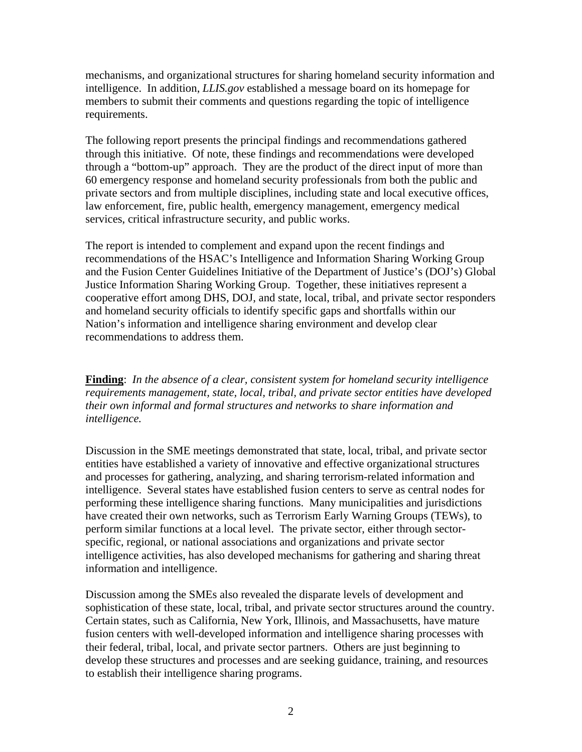mechanisms, and organizational structures for sharing homeland security information and intelligence. In addition, *LLIS.gov* established a message board on its homepage for members to submit their comments and questions regarding the topic of intelligence requirements.

The following report presents the principal findings and recommendations gathered through this initiative. Of note, these findings and recommendations were developed through a "bottom-up" approach. They are the product of the direct input of more than 60 emergency response and homeland security professionals from both the public and private sectors and from multiple disciplines, including state and local executive offices, law enforcement, fire, public health, emergency management, emergency medical services, critical infrastructure security, and public works.

The report is intended to complement and expand upon the recent findings and recommendations of the HSAC's Intelligence and Information Sharing Working Group and the Fusion Center Guidelines Initiative of the Department of Justice's (DOJ's) Global Justice Information Sharing Working Group. Together, these initiatives represent a cooperative effort among DHS, DOJ, and state, local, tribal, and private sector responders and homeland security officials to identify specific gaps and shortfalls within our Nation's information and intelligence sharing environment and develop clear recommendations to address them.

**Finding**: *In the absence of a clear, consistent system for homeland security intelligence requirements management, state, local, tribal, and private sector entities have developed their own informal and formal structures and networks to share information and intelligence.*

Discussion in the SME meetings demonstrated that state, local, tribal, and private sector entities have established a variety of innovative and effective organizational structures and processes for gathering, analyzing, and sharing terrorism-related information and intelligence. Several states have established fusion centers to serve as central nodes for performing these intelligence sharing functions. Many municipalities and jurisdictions have created their own networks, such as Terrorism Early Warning Groups (TEWs), to perform similar functions at a local level. The private sector, either through sectorspecific, regional, or national associations and organizations and private sector intelligence activities, has also developed mechanisms for gathering and sharing threat information and intelligence.

Discussion among the SMEs also revealed the disparate levels of development and sophistication of these state, local, tribal, and private sector structures around the country. Certain states, such as California, New York, Illinois, and Massachusetts, have mature fusion centers with well-developed information and intelligence sharing processes with their federal, tribal, local, and private sector partners. Others are just beginning to develop these structures and processes and are seeking guidance, training, and resources to establish their intelligence sharing programs.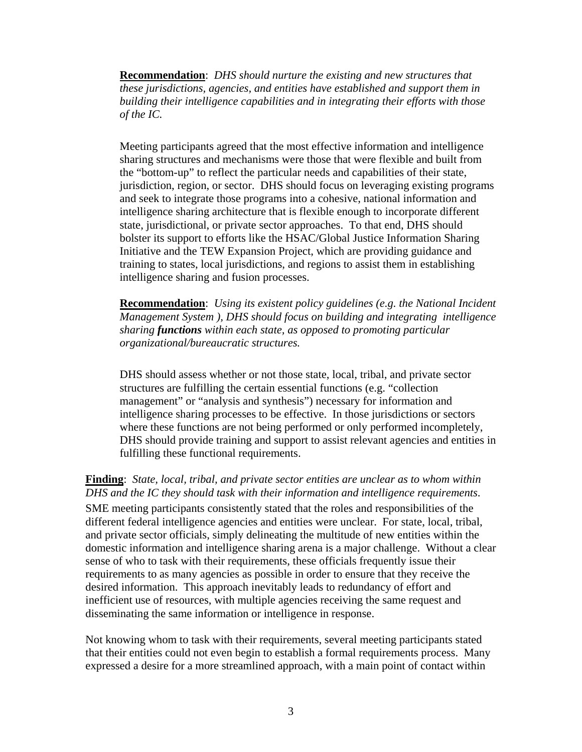**Recommendation**: *DHS should nurture the existing and new structures that these jurisdictions, agencies, and entities have established and support them in building their intelligence capabilities and in integrating their efforts with those of the IC.* 

Meeting participants agreed that the most effective information and intelligence sharing structures and mechanisms were those that were flexible and built from the "bottom-up" to reflect the particular needs and capabilities of their state, jurisdiction, region, or sector. DHS should focus on leveraging existing programs and seek to integrate those programs into a cohesive, national information and intelligence sharing architecture that is flexible enough to incorporate different state, jurisdictional, or private sector approaches. To that end, DHS should bolster its support to efforts like the HSAC/Global Justice Information Sharing Initiative and the TEW Expansion Project, which are providing guidance and training to states, local jurisdictions, and regions to assist them in establishing intelligence sharing and fusion processes.

**Recommendation**: *Using its existent policy guidelines (e.g. the National Incident Management System ), DHS should focus on building and integrating intelligence sharing functions within each state, as opposed to promoting particular organizational/bureaucratic structures.*

DHS should assess whether or not those state, local, tribal, and private sector structures are fulfilling the certain essential functions (e.g. "collection management" or "analysis and synthesis") necessary for information and intelligence sharing processes to be effective. In those jurisdictions or sectors where these functions are not being performed or only performed incompletely, DHS should provide training and support to assist relevant agencies and entities in fulfilling these functional requirements.

**Finding**: *State, local, tribal, and private sector entities are unclear as to whom within DHS and the IC they should task with their information and intelligence requirements*. SME meeting participants consistently stated that the roles and responsibilities of the different federal intelligence agencies and entities were unclear. For state, local, tribal, and private sector officials, simply delineating the multitude of new entities within the domestic information and intelligence sharing arena is a major challenge. Without a clear sense of who to task with their requirements, these officials frequently issue their requirements to as many agencies as possible in order to ensure that they receive the desired information. This approach inevitably leads to redundancy of effort and inefficient use of resources, with multiple agencies receiving the same request and disseminating the same information or intelligence in response.

Not knowing whom to task with their requirements, several meeting participants stated that their entities could not even begin to establish a formal requirements process. Many expressed a desire for a more streamlined approach, with a main point of contact within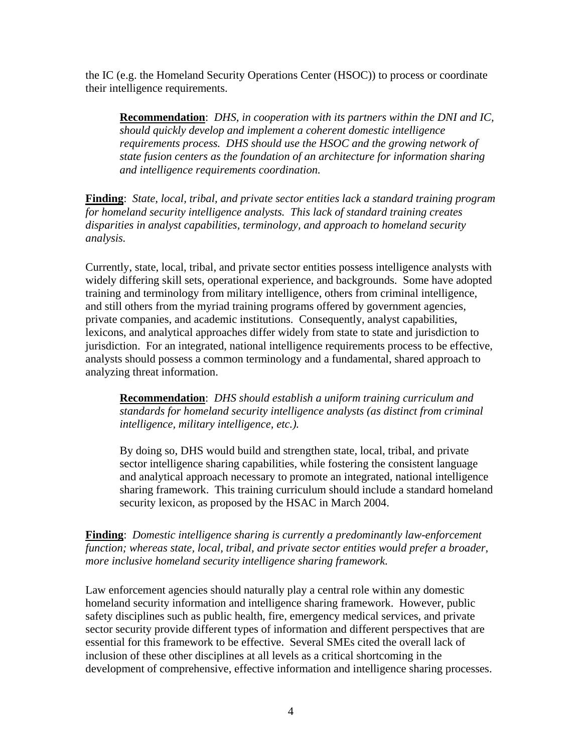the IC (e.g. the Homeland Security Operations Center (HSOC)) to process or coordinate their intelligence requirements.

**Recommendation**: *DHS, in cooperation with its partners within the DNI and IC, should quickly develop and implement a coherent domestic intelligence requirements process. DHS should use the HSOC and the growing network of state fusion centers as the foundation of an architecture for information sharing and intelligence requirements coordination.* 

**Finding**: *State, local, tribal, and private sector entities lack a standard training program for homeland security intelligence analysts. This lack of standard training creates disparities in analyst capabilities, terminology, and approach to homeland security analysis.* 

Currently, state, local, tribal, and private sector entities possess intelligence analysts with widely differing skill sets, operational experience, and backgrounds. Some have adopted training and terminology from military intelligence, others from criminal intelligence, and still others from the myriad training programs offered by government agencies, private companies, and academic institutions. Consequently, analyst capabilities, lexicons, and analytical approaches differ widely from state to state and jurisdiction to jurisdiction. For an integrated, national intelligence requirements process to be effective, analysts should possess a common terminology and a fundamental, shared approach to analyzing threat information.

**Recommendation**: *DHS should establish a uniform training curriculum and standards for homeland security intelligence analysts (as distinct from criminal intelligence, military intelligence, etc.).*

By doing so, DHS would build and strengthen state, local, tribal, and private sector intelligence sharing capabilities, while fostering the consistent language and analytical approach necessary to promote an integrated, national intelligence sharing framework. This training curriculum should include a standard homeland security lexicon, as proposed by the HSAC in March 2004.

**Finding**: *Domestic intelligence sharing is currently a predominantly law-enforcement function; whereas state, local, tribal, and private sector entities would prefer a broader, more inclusive homeland security intelligence sharing framework.* 

Law enforcement agencies should naturally play a central role within any domestic homeland security information and intelligence sharing framework. However, public safety disciplines such as public health, fire, emergency medical services, and private sector security provide different types of information and different perspectives that are essential for this framework to be effective. Several SMEs cited the overall lack of inclusion of these other disciplines at all levels as a critical shortcoming in the development of comprehensive, effective information and intelligence sharing processes.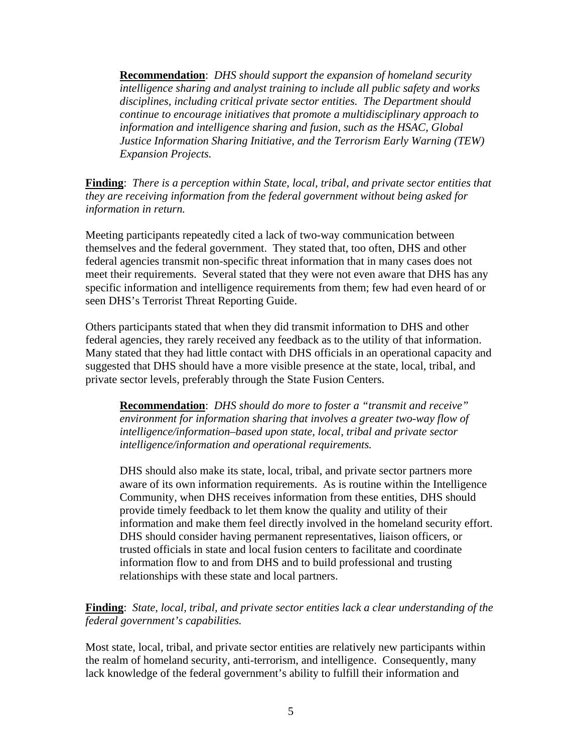**Recommendation**: *DHS should support the expansion of homeland security intelligence sharing and analyst training to include all public safety and works disciplines, including critical private sector entities. The Department should continue to encourage initiatives that promote a multidisciplinary approach to information and intelligence sharing and fusion, such as the HSAC, Global Justice Information Sharing Initiative, and the Terrorism Early Warning (TEW) Expansion Projects.*

**Finding**: *There is a perception within State, local, tribal, and private sector entities that they are receiving information from the federal government without being asked for information in return.* 

Meeting participants repeatedly cited a lack of two-way communication between themselves and the federal government. They stated that, too often, DHS and other federal agencies transmit non-specific threat information that in many cases does not meet their requirements. Several stated that they were not even aware that DHS has any specific information and intelligence requirements from them; few had even heard of or seen DHS's Terrorist Threat Reporting Guide.

Others participants stated that when they did transmit information to DHS and other federal agencies, they rarely received any feedback as to the utility of that information. Many stated that they had little contact with DHS officials in an operational capacity and suggested that DHS should have a more visible presence at the state, local, tribal, and private sector levels, preferably through the State Fusion Centers.

**Recommendation**: *DHS should do more to foster a "transmit and receive" environment for information sharing that involves a greater two-way flow of intelligence/information–based upon state, local, tribal and private sector intelligence/information and operational requirements.* 

DHS should also make its state, local, tribal, and private sector partners more aware of its own information requirements. As is routine within the Intelligence Community, when DHS receives information from these entities, DHS should provide timely feedback to let them know the quality and utility of their information and make them feel directly involved in the homeland security effort. DHS should consider having permanent representatives, liaison officers, or trusted officials in state and local fusion centers to facilitate and coordinate information flow to and from DHS and to build professional and trusting relationships with these state and local partners.

**Finding**: *State, local, tribal, and private sector entities lack a clear understanding of the federal government's capabilities.*

Most state, local, tribal, and private sector entities are relatively new participants within the realm of homeland security, anti-terrorism, and intelligence. Consequently, many lack knowledge of the federal government's ability to fulfill their information and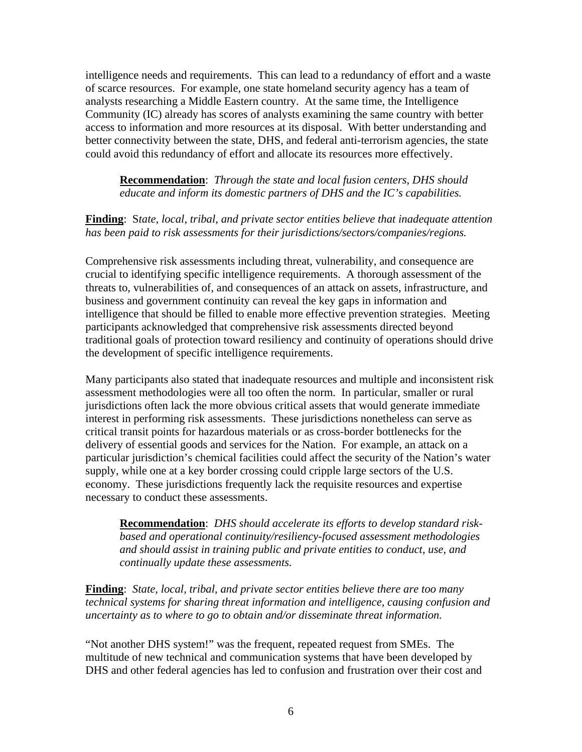intelligence needs and requirements. This can lead to a redundancy of effort and a waste of scarce resources. For example, one state homeland security agency has a team of analysts researching a Middle Eastern country. At the same time, the Intelligence Community (IC) already has scores of analysts examining the same country with better access to information and more resources at its disposal. With better understanding and better connectivity between the state, DHS, and federal anti-terrorism agencies, the state could avoid this redundancy of effort and allocate its resources more effectively.

**Recommendation**: *Through the state and local fusion centers*, *DHS should educate and inform its domestic partners of DHS and the IC's capabilities.* 

## **Finding**: S*tate, local, tribal, and private sector entities believe that inadequate attention has been paid to risk assessments for their jurisdictions/sectors/companies/regions.*

Comprehensive risk assessments including threat, vulnerability, and consequence are crucial to identifying specific intelligence requirements. A thorough assessment of the threats to, vulnerabilities of, and consequences of an attack on assets, infrastructure, and business and government continuity can reveal the key gaps in information and intelligence that should be filled to enable more effective prevention strategies. Meeting participants acknowledged that comprehensive risk assessments directed beyond traditional goals of protection toward resiliency and continuity of operations should drive the development of specific intelligence requirements.

Many participants also stated that inadequate resources and multiple and inconsistent risk assessment methodologies were all too often the norm. In particular, smaller or rural jurisdictions often lack the more obvious critical assets that would generate immediate interest in performing risk assessments. These jurisdictions nonetheless can serve as critical transit points for hazardous materials or as cross-border bottlenecks for the delivery of essential goods and services for the Nation. For example, an attack on a particular jurisdiction's chemical facilities could affect the security of the Nation's water supply, while one at a key border crossing could cripple large sectors of the U.S. economy. These jurisdictions frequently lack the requisite resources and expertise necessary to conduct these assessments.

**Recommendation**: *DHS should accelerate its efforts to develop standard riskbased and operational continuity/resiliency-focused assessment methodologies and should assist in training public and private entities to conduct, use, and continually update these assessments.* 

**Finding**: *State, local, tribal, and private sector entities believe there are too many technical systems for sharing threat information and intelligence, causing confusion and uncertainty as to where to go to obtain and/or disseminate threat information.* 

"Not another DHS system!" was the frequent, repeated request from SMEs. The multitude of new technical and communication systems that have been developed by DHS and other federal agencies has led to confusion and frustration over their cost and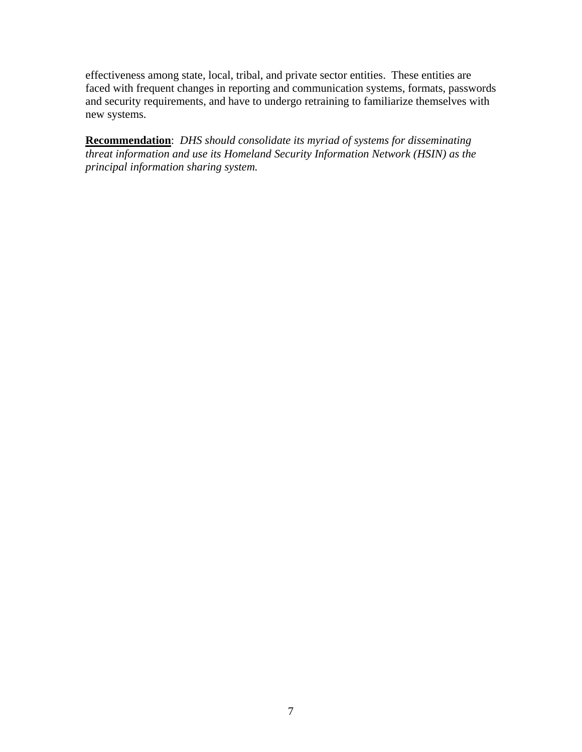effectiveness among state, local, tribal, and private sector entities. These entities are faced with frequent changes in reporting and communication systems, formats, passwords and security requirements, and have to undergo retraining to familiarize themselves with new systems.

**Recommendation**: *DHS should consolidate its myriad of systems for disseminating threat information and use its Homeland Security Information Network (HSIN) as the principal information sharing system.*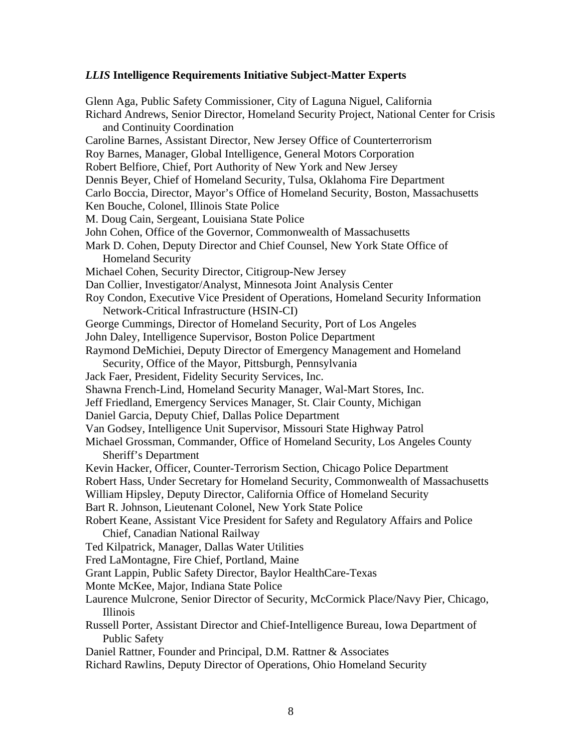#### *LLIS* **Intelligence Requirements Initiative Subject-Matter Experts**

Glenn Aga, Public Safety Commissioner, City of Laguna Niguel, California Richard Andrews, Senior Director, Homeland Security Project, National Center for Crisis and Continuity Coordination Caroline Barnes, Assistant Director, New Jersey Office of Counterterrorism Roy Barnes, Manager, Global Intelligence, General Motors Corporation Robert Belfiore, Chief, Port Authority of New York and New Jersey Dennis Beyer, Chief of Homeland Security, Tulsa, Oklahoma Fire Department Carlo Boccia, Director, Mayor's Office of Homeland Security, Boston, Massachusetts Ken Bouche, Colonel, Illinois State Police M. Doug Cain, Sergeant, Louisiana State Police John Cohen, Office of the Governor, Commonwealth of Massachusetts Mark D. Cohen, Deputy Director and Chief Counsel, New York State Office of Homeland Security Michael Cohen, Security Director, Citigroup-New Jersey Dan Collier, Investigator/Analyst, Minnesota Joint Analysis Center Roy Condon, Executive Vice President of Operations, Homeland Security Information Network-Critical Infrastructure (HSIN-CI) George Cummings, Director of Homeland Security, Port of Los Angeles John Daley, Intelligence Supervisor, Boston Police Department Raymond DeMichiei, Deputy Director of Emergency Management and Homeland Security, Office of the Mayor, Pittsburgh, Pennsylvania Jack Faer, President, Fidelity Security Services, Inc. Shawna French-Lind, Homeland Security Manager, Wal-Mart Stores, Inc. Jeff Friedland, Emergency Services Manager, St. Clair County, Michigan Daniel Garcia, Deputy Chief, Dallas Police Department Van Godsey, Intelligence Unit Supervisor, Missouri State Highway Patrol Michael Grossman, Commander, Office of Homeland Security, Los Angeles County Sheriff's Department Kevin Hacker, Officer, Counter-Terrorism Section, Chicago Police Department Robert Hass, Under Secretary for Homeland Security, Commonwealth of Massachusetts William Hipsley, Deputy Director, California Office of Homeland Security Bart R. Johnson, Lieutenant Colonel, New York State Police Robert Keane, Assistant Vice President for Safety and Regulatory Affairs and Police Chief, Canadian National Railway Ted Kilpatrick, Manager, Dallas Water Utilities Fred LaMontagne, Fire Chief, Portland, Maine Grant Lappin, Public Safety Director, Baylor HealthCare-Texas Monte McKee, Major, Indiana State Police Laurence Mulcrone, Senior Director of Security, McCormick Place/Navy Pier, Chicago, Illinois Russell Porter, Assistant Director and Chief-Intelligence Bureau, Iowa Department of Public Safety Daniel Rattner, Founder and Principal, D.M. Rattner & Associates Richard Rawlins, Deputy Director of Operations, Ohio Homeland Security